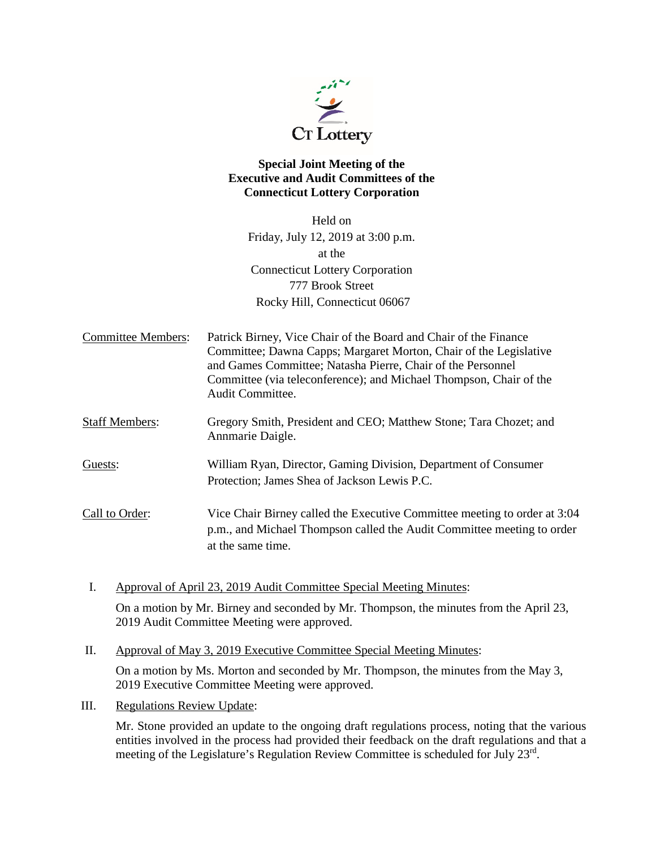

# **Special Joint Meeting of the Executive and Audit Committees of the Connecticut Lottery Corporation**

Held on Friday, July 12, 2019 at 3:00 p.m. at the Connecticut Lottery Corporation 777 Brook Street Rocky Hill, Connecticut 06067

Committee Members: Patrick Birney, Vice Chair of the Board and Chair of the Finance Committee; Dawna Capps; Margaret Morton, Chair of the Legislative and Games Committee; Natasha Pierre, Chair of the Personnel Committee (via teleconference); and Michael Thompson, Chair of the Audit Committee.

Staff Members: Gregory Smith, President and CEO; Matthew Stone; Tara Chozet; and Annmarie Daigle.

Guests: William Ryan, Director, Gaming Division, Department of Consumer Protection; James Shea of Jackson Lewis P.C.

Call to Order: Vice Chair Birney called the Executive Committee meeting to order at 3:04 p.m., and Michael Thompson called the Audit Committee meeting to order at the same time.

I. Approval of April 23, 2019 Audit Committee Special Meeting Minutes:

On a motion by Mr. Birney and seconded by Mr. Thompson, the minutes from the April 23, 2019 Audit Committee Meeting were approved.

II. Approval of May 3, 2019 Executive Committee Special Meeting Minutes:

On a motion by Ms. Morton and seconded by Mr. Thompson, the minutes from the May 3, 2019 Executive Committee Meeting were approved.

III. Regulations Review Update:

Mr. Stone provided an update to the ongoing draft regulations process, noting that the various entities involved in the process had provided their feedback on the draft regulations and that a meeting of the Legislature's Regulation Review Committee is scheduled for July 23<sup>rd</sup>.